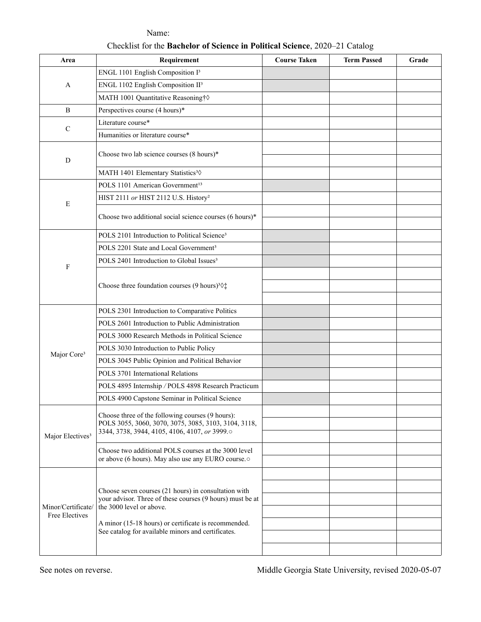| Area                                 | Requirement                                                                                                                                                                                                                                                 | <b>Course Taken</b>   | <b>Term Passed</b> | Grade                 |
|--------------------------------------|-------------------------------------------------------------------------------------------------------------------------------------------------------------------------------------------------------------------------------------------------------------|-----------------------|--------------------|-----------------------|
| $\mathbf{A}$                         | ENGL 1101 English Composition I <sup>3</sup>                                                                                                                                                                                                                |                       |                    | $\blacktriangledown$  |
|                                      | ENGL 1102 English Composition II <sup>3</sup>                                                                                                                                                                                                               |                       |                    | $\blacktriangledown$  |
|                                      | MATH 1001 Quantitative Reasoning† $\diamond$                                                                                                                                                                                                                | $\blacktriangledown$  |                    | $\blacktriangledown$  |
| $\, {\bf B}$                         | Perspectives course (4 hours)*                                                                                                                                                                                                                              | $\blacktriangledown$  |                    | $\blacktriangledown$  |
| $\mathsf C$                          | Literature course*                                                                                                                                                                                                                                          | $\blacktriangledown$  |                    | $\blacktriangledown$  |
|                                      | Humanities or literature course*                                                                                                                                                                                                                            | $\blacktriangleright$ |                    | $\blacktriangledown$  |
| ${\bf D}$                            | Choose two lab science courses (8 hours)*                                                                                                                                                                                                                   | $\blacktriangleright$ |                    | $\blacktriangledown$  |
|                                      |                                                                                                                                                                                                                                                             | $\blacktriangledown$  |                    | $\blacktriangledown$  |
|                                      | MATH 1401 Elementary Statistics <sup>3</sup> 0                                                                                                                                                                                                              | $\blacktriangledown$  |                    | $\blacktriangledown$  |
| $\mathbf E$                          | POLS 1101 American Government <sup>13</sup>                                                                                                                                                                                                                 |                       |                    | $\blacktriangledown$  |
|                                      | HIST 2111 or HIST 2112 U.S. History <sup>2</sup>                                                                                                                                                                                                            | $\blacktriangledown$  |                    | $\blacktriangledown$  |
|                                      | Choose two additional social science courses (6 hours)*                                                                                                                                                                                                     | $\blacktriangleright$ |                    | $\blacktriangledown$  |
|                                      |                                                                                                                                                                                                                                                             | $\blacktriangledown$  |                    | $\blacktriangledown$  |
| $\boldsymbol{\mathrm{F}}$            | POLS 2101 Introduction to Political Science <sup>3</sup>                                                                                                                                                                                                    |                       |                    | $\blacktriangledown$  |
|                                      | POLS 2201 State and Local Government <sup>3</sup>                                                                                                                                                                                                           |                       |                    | $\blacktriangledown$  |
|                                      | POLS 2401 Introduction to Global Issues <sup>3</sup>                                                                                                                                                                                                        |                       |                    | $\blacktriangledown$  |
|                                      | Choose three foundation courses (9 hours) <sup>3</sup> $\Diamond$ <sup>*</sup>                                                                                                                                                                              | $\blacktriangledown$  |                    | $\blacktriangledown$  |
|                                      |                                                                                                                                                                                                                                                             | $\blacktriangledown$  |                    | $\blacktriangledown$  |
|                                      |                                                                                                                                                                                                                                                             | $\blacktriangledown$  |                    | $\blacktriangledown$  |
| Major Core <sup>3</sup>              | POLS 2301 Introduction to Comparative Politics                                                                                                                                                                                                              |                       |                    | $\blacktriangledown$  |
|                                      | POLS 2601 Introduction to Public Administration                                                                                                                                                                                                             |                       |                    | $\blacktriangledown$  |
|                                      | POLS 3000 Research Methods in Political Science                                                                                                                                                                                                             |                       |                    | $\blacktriangledown$  |
|                                      | POLS 3030 Introduction to Public Policy                                                                                                                                                                                                                     |                       |                    | $\blacktriangledown$  |
|                                      | POLS 3045 Public Opinion and Political Behavior                                                                                                                                                                                                             |                       |                    | $\blacktriangledown$  |
|                                      | POLS 3701 International Relations                                                                                                                                                                                                                           |                       |                    | $\blacktriangledown$  |
|                                      | POLS 4895 Internship / POLS 4898 Research Practicum                                                                                                                                                                                                         | $\blacktriangleright$ |                    | $\blacktriangledown$  |
|                                      | POLS 4900 Capstone Seminar in Political Science                                                                                                                                                                                                             |                       |                    | $\blacktriangledown$  |
| Major Electives <sup>3</sup>         | Choose three of the following courses (9 hours):<br>POLS 3055, 3060, 3070, 3075, 3085, 3103, 3104, 3118,<br>3344, 3738, 3944, 4105, 4106, 4107, or 3999.0                                                                                                   | $\blacktriangledown$  |                    | $\blacktriangledown$  |
|                                      |                                                                                                                                                                                                                                                             | $\blacktriangledown$  |                    | $\blacktriangledown$  |
|                                      |                                                                                                                                                                                                                                                             | $\blacktriangleright$ |                    | $\blacktriangledown$  |
|                                      | Choose two additional POLS courses at the 3000 level<br>or above (6 hours). May also use any EURO course.                                                                                                                                                   |                       |                    | $\blacktriangledown$  |
|                                      |                                                                                                                                                                                                                                                             |                       |                    | $\blacktriangledown$  |
| Minor/Certificate/<br>Free Electives | Choose seven courses (21 hours) in consultation with<br>your advisor. Three of these courses (9 hours) must be at<br>the 3000 level or above.<br>A minor (15-18 hours) or certificate is recommended.<br>See catalog for available minors and certificates. |                       |                    | $\blacktriangledown$  |
|                                      |                                                                                                                                                                                                                                                             |                       |                    | $\blacktriangledown$  |
|                                      |                                                                                                                                                                                                                                                             |                       |                    | $\blacktriangleright$ |
|                                      |                                                                                                                                                                                                                                                             |                       |                    | $\blacktriangledown$  |
|                                      |                                                                                                                                                                                                                                                             |                       |                    | $\blacktriangledown$  |
|                                      |                                                                                                                                                                                                                                                             |                       |                    | $\blacksquare$        |
|                                      |                                                                                                                                                                                                                                                             |                       |                    | $\blacktriangledown$  |

Name: Checklist for the **Bachelor of Science in Political Science**, 2020–21 Catalog

See notes on reverse. Middle Georgia State University, revised 2020-05-07